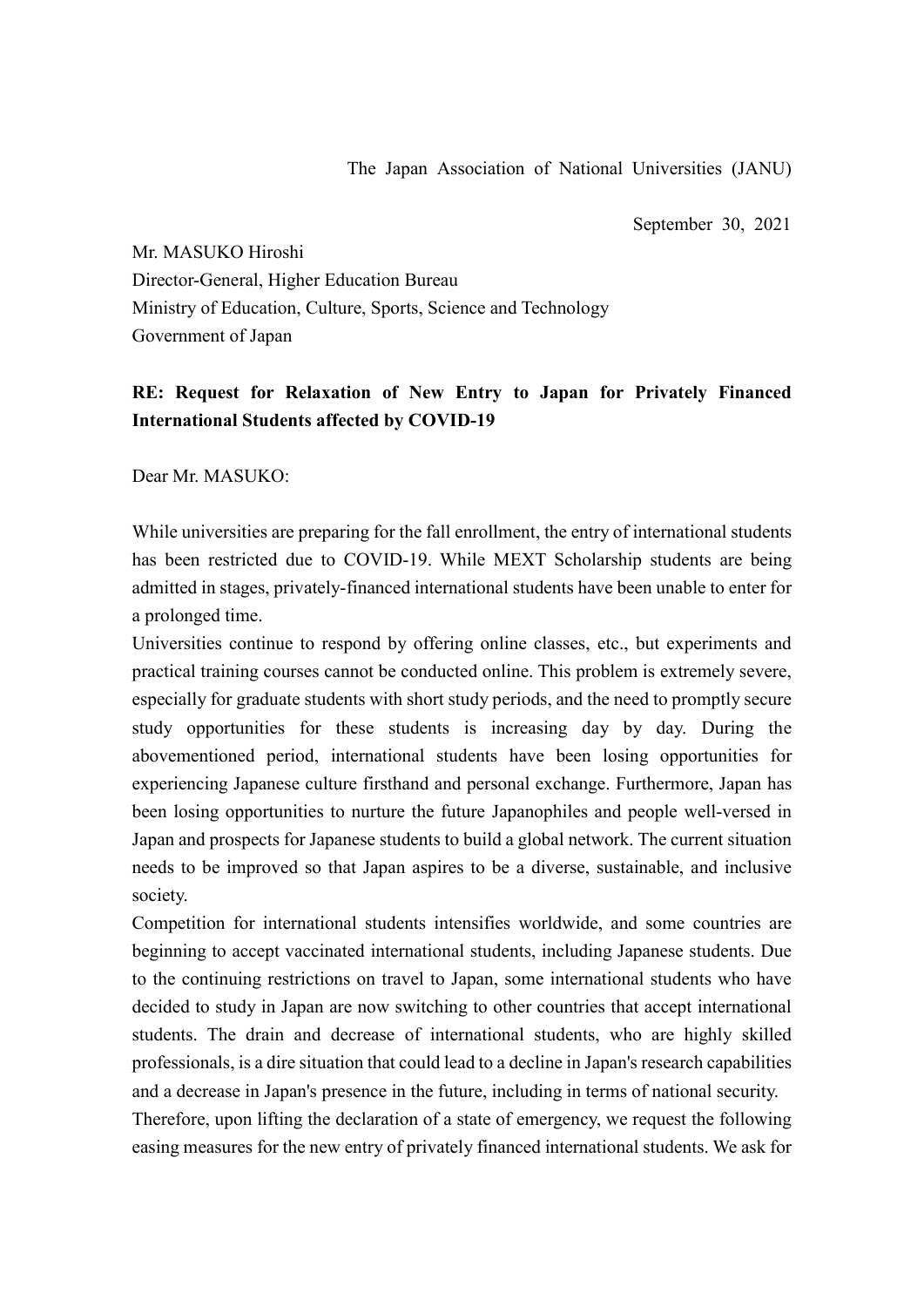September 30, 2021

Mr. MASUKO Hiroshi Director-General, Higher Education Bureau Ministry of Education, Culture, Sports, Science and Technology Government of Japan

## **RE: Request for Relaxation of New Entry to Japan for Privately Financed International Students affected by COVID-19**

Dear Mr. MASUKO:

While universities are preparing for the fall enrollment, the entry of international students has been restricted due to COVID-19. While MEXT Scholarship students are being admitted in stages, privately-financed international students have been unable to enter for a prolonged time.

Universities continue to respond by offering online classes, etc., but experiments and practical training courses cannot be conducted online. This problem is extremely severe, especially for graduate students with short study periods, and the need to promptly secure study opportunities for these students is increasing day by day. During the abovementioned period, international students have been losing opportunities for experiencing Japanese culture firsthand and personal exchange. Furthermore, Japan has been losing opportunities to nurture the future Japanophiles and people well-versed in Japan and prospects for Japanese students to build a global network. The current situation needs to be improved so that Japan aspires to be a diverse, sustainable, and inclusive society.

Competition for international students intensifies worldwide, and some countries are beginning to accept vaccinated international students, including Japanese students. Due to the continuing restrictions on travel to Japan, some international students who have decided to study in Japan are now switching to other countries that accept international students. The drain and decrease of international students, who are highly skilled professionals, is a dire situation that could lead to a decline in Japan's research capabilities and a decrease in Japan's presence in the future, including in terms of national security. Therefore, upon lifting the declaration of a state of emergency, we request the following easing measures for the new entry of privately financed international students. We ask for